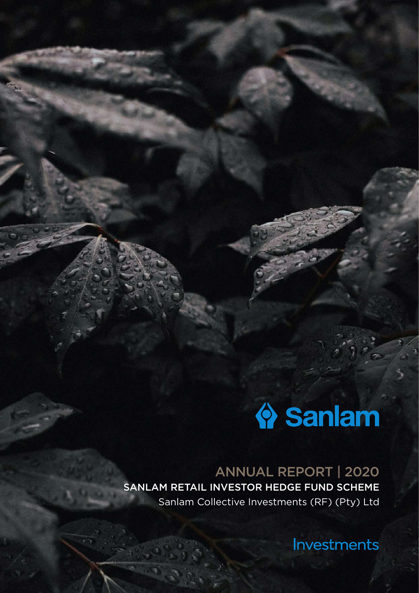# Sanlam

ANNUAL REPORT | 2020 SANLAM RETAIL INVESTOR HEDGE FUND SCHEME Sanlam Collective Investments (RF) (Pty) Ltd

Investments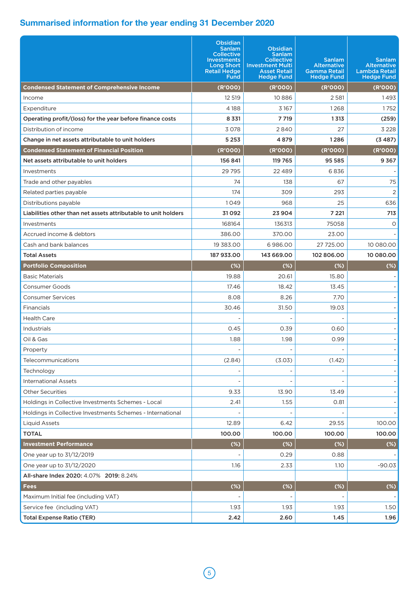|                                                                | <b>Obsidian</b><br>Sanlam<br><b>Collective</b><br><b>Investments</b><br><b>Long Short</b><br><b>Retail Hedge</b><br><b>Fund</b> | <b>Obsidian</b><br><b>Sanlam</b><br><b>Collective</b><br><b>Investment Multi</b><br><b>Asset Retail</b><br><b>Hedge Fund</b> | <b>Sanlam</b><br><b>Alternative</b><br><b>Gamma Retail</b><br><b>Hedge Fund</b> | <b>Sanlam</b><br><b>Alternative</b><br><b>Lambda Retail</b><br><b>Hedge Fund</b> |  |
|----------------------------------------------------------------|---------------------------------------------------------------------------------------------------------------------------------|------------------------------------------------------------------------------------------------------------------------------|---------------------------------------------------------------------------------|----------------------------------------------------------------------------------|--|
| <b>Condensed Statement of Comprehensive Income</b>             | (R'000)                                                                                                                         | (R'000)                                                                                                                      | (R'000)                                                                         | (R'000)                                                                          |  |
| Income                                                         | 12 519                                                                                                                          | 10886                                                                                                                        | 2581                                                                            | 1493                                                                             |  |
| Expenditure                                                    | 4 1 8 8                                                                                                                         | 3 1 6 7                                                                                                                      | 1268                                                                            | 1752                                                                             |  |
| Operating profit/(loss) for the year before finance costs      | 8 3 3 1                                                                                                                         | 7 7 19                                                                                                                       | 1313                                                                            | (259)                                                                            |  |
| Distribution of income                                         | 3078                                                                                                                            | 2840                                                                                                                         | 27                                                                              | 3 2 2 8                                                                          |  |
| Change in net assets attributable to unit holders              | 5 2 5 3                                                                                                                         | 4879                                                                                                                         | 1286                                                                            | (3487)                                                                           |  |
| <b>Condensed Statement of Financial Position</b>               | (R'000)                                                                                                                         | (R'000)                                                                                                                      | (R'000)                                                                         | (R'000)                                                                          |  |
| Net assets attributable to unit holders                        | 156 841                                                                                                                         | 119 765                                                                                                                      | 95 585                                                                          | 9367                                                                             |  |
| <b>Investments</b>                                             | 29 7 95                                                                                                                         | 22 4 8 9                                                                                                                     | 6836                                                                            |                                                                                  |  |
| Trade and other payables                                       | 74                                                                                                                              | 138                                                                                                                          | 67                                                                              | 75                                                                               |  |
| Related parties payable                                        | 174                                                                                                                             | 309                                                                                                                          | 293                                                                             | $\overline{2}$                                                                   |  |
| Distributions payable                                          | 1049                                                                                                                            | 968                                                                                                                          | 25                                                                              | 636                                                                              |  |
| Liabilities other than net assets attributable to unit holders | 31092                                                                                                                           | 23904                                                                                                                        | 7 2 2 1                                                                         | 713                                                                              |  |
| Investments                                                    | 168164                                                                                                                          | 136313                                                                                                                       | 75058                                                                           | O                                                                                |  |
| Accrued income & debtors                                       | 386.00                                                                                                                          | 370.00                                                                                                                       | 23.00                                                                           |                                                                                  |  |
| Cash and bank balances                                         | 19 3 8 3 .00                                                                                                                    | 6986.00                                                                                                                      | 27 725.00                                                                       | 10 080.00                                                                        |  |
| <b>Total Assets</b>                                            | 187 933.00                                                                                                                      | 143 669.00                                                                                                                   | 102806.00                                                                       | 10 080.00                                                                        |  |
| <b>Portfolio Composition</b>                                   | (%)                                                                                                                             | (%)                                                                                                                          | (%)                                                                             | (%)                                                                              |  |
| <b>Basic Materials</b>                                         | 19.88                                                                                                                           | 20.61                                                                                                                        | 15.80                                                                           |                                                                                  |  |
| Consumer Goods                                                 | 17.46                                                                                                                           | 18.42                                                                                                                        | 13.45                                                                           |                                                                                  |  |
| <b>Consumer Services</b>                                       | 8.08                                                                                                                            | 8.26                                                                                                                         | 7.70                                                                            |                                                                                  |  |
| Financials                                                     | 30.46                                                                                                                           | 31.50                                                                                                                        | 19.03                                                                           |                                                                                  |  |
| <b>Health Care</b>                                             |                                                                                                                                 |                                                                                                                              |                                                                                 |                                                                                  |  |
| Industrials                                                    | 0.45                                                                                                                            | 0.39                                                                                                                         | 0.60                                                                            |                                                                                  |  |
| Oil & Gas                                                      | 1.88                                                                                                                            | 1.98                                                                                                                         | 0.99                                                                            |                                                                                  |  |
| Property                                                       |                                                                                                                                 |                                                                                                                              |                                                                                 |                                                                                  |  |
| Telecommunications                                             | (2.84)                                                                                                                          | (3.03)                                                                                                                       | (1.42)                                                                          |                                                                                  |  |
| Technology                                                     |                                                                                                                                 |                                                                                                                              |                                                                                 |                                                                                  |  |
| <b>International Assets</b>                                    |                                                                                                                                 |                                                                                                                              |                                                                                 |                                                                                  |  |
| <b>Other Securities</b>                                        | 9.33                                                                                                                            | 13.90                                                                                                                        | 13.49                                                                           |                                                                                  |  |
| Holdings in Collective Investments Schemes - Local             | 2.41                                                                                                                            | 1.55                                                                                                                         | 0.81                                                                            |                                                                                  |  |
| Holdings in Collective Investments Schemes - International     |                                                                                                                                 |                                                                                                                              |                                                                                 |                                                                                  |  |
| <b>Liquid Assets</b>                                           | 12.89                                                                                                                           | 6.42                                                                                                                         | 29.55                                                                           | 100.00                                                                           |  |
| <b>TOTAL</b>                                                   | 100.00                                                                                                                          | 100.00                                                                                                                       | 100.00                                                                          | 100.00                                                                           |  |
| <b>Investment Performance</b>                                  | $(*)$                                                                                                                           | $(*)$                                                                                                                        | $(*)$                                                                           | $(\%)$                                                                           |  |
| One year up to 31/12/2019                                      |                                                                                                                                 | 0.29                                                                                                                         | 0.88                                                                            |                                                                                  |  |
| One year up to 31/12/2020                                      | 1.16                                                                                                                            | 2.33                                                                                                                         | 1.10                                                                            | $-90.03$                                                                         |  |
| All-share Index 2020: 4.07% 2019: 8.24%                        |                                                                                                                                 |                                                                                                                              |                                                                                 |                                                                                  |  |
| <b>Fees</b>                                                    | $(*)$                                                                                                                           | $(*)$                                                                                                                        | $(*)$                                                                           | $(*)$                                                                            |  |
| Maximum Initial fee (including VAT)                            |                                                                                                                                 |                                                                                                                              |                                                                                 |                                                                                  |  |
| Service fee (including VAT)                                    | 1.93                                                                                                                            | 1.93                                                                                                                         | 1.93                                                                            | 1.50                                                                             |  |
| <b>Total Expense Ratio (TER)</b>                               | 2.42                                                                                                                            | 2.60                                                                                                                         | 1.45                                                                            | 1.96                                                                             |  |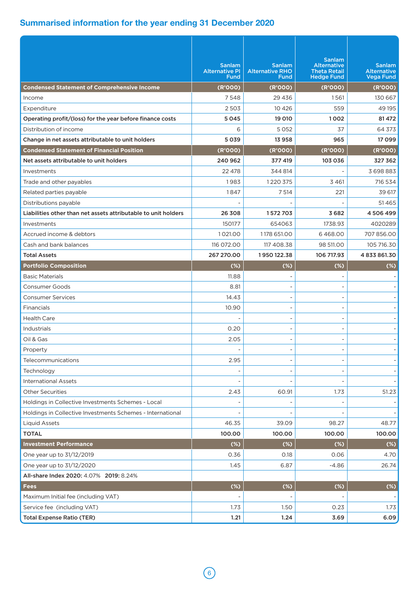|                                                                | <b>Sanlam</b><br><b>Alternative PI</b><br><b>Fund</b> | <b>Sanlam</b><br><b>Alternative RHO</b><br>Fund | <b>Sanlam</b><br><b>Alternative</b><br><b>Theta Retail</b><br><b>Hedge Fund</b> | <b>Sanlam</b><br><b>Alternative</b><br><b>Vega Fund</b> |
|----------------------------------------------------------------|-------------------------------------------------------|-------------------------------------------------|---------------------------------------------------------------------------------|---------------------------------------------------------|
| <b>Condensed Statement of Comprehensive Income</b>             | (R'000)                                               | (R'000)                                         | (R'000)                                                                         | (R'000)                                                 |
| Income                                                         | 7548                                                  | 29 43 6                                         | 1561                                                                            | 130 667                                                 |
| Expenditure                                                    | 2503                                                  | 10 4 26                                         | 559                                                                             | 49 195                                                  |
| Operating profit/(loss) for the year before finance costs      | 5045                                                  | 19 010                                          | 1002                                                                            | 81472                                                   |
| Distribution of income                                         | 6                                                     | 5052                                            | 37                                                                              | 64 373                                                  |
| Change in net assets attributable to unit holders              | 5039                                                  | 13958                                           | 965                                                                             | 17099                                                   |
| <b>Condensed Statement of Financial Position</b>               | (R'000)                                               | (R'000)                                         | (R'000)                                                                         | (R'000)                                                 |
| Net assets attributable to unit holders                        | 240 962                                               | 377 419                                         | 103 036                                                                         | 327 362                                                 |
| Investments                                                    | 22 478                                                | 344814                                          |                                                                                 | 3698883                                                 |
| Trade and other payables                                       | 1983                                                  | 1220 375                                        | 3 4 6 1                                                                         | 716 534                                                 |
| Related parties payable                                        | 1847                                                  | 7 5 14                                          | 221                                                                             | 39 617                                                  |
| Distributions payable                                          |                                                       |                                                 |                                                                                 | 51465                                                   |
| Liabilities other than net assets attributable to unit holders | 26 308                                                | 1572703                                         | 3682                                                                            | 4506499                                                 |
| Investments                                                    | 150177                                                | 654063                                          | 1738.93                                                                         | 4020289                                                 |
| Accrued income & debtors                                       | 1021.00                                               | 1178 651.00                                     | 6468.00                                                                         | 707 856.00                                              |
| Cash and bank balances                                         | 116 072.00                                            | 117 408.38                                      | 98 511,00                                                                       | 105 716.30                                              |
| <b>Total Assets</b>                                            | 267 270.00                                            | 1950 122.38                                     | 106 717.93                                                                      | 4833861.30                                              |
| <b>Portfolio Composition</b>                                   | $(\%)$                                                | (%)                                             | (%)                                                                             | $(*)$                                                   |
| <b>Basic Materials</b>                                         | 11.88                                                 |                                                 |                                                                                 |                                                         |
| Consumer Goods                                                 | 8.81                                                  |                                                 |                                                                                 |                                                         |
| <b>Consumer Services</b>                                       | 14.43                                                 |                                                 |                                                                                 |                                                         |
| Financials                                                     | 10.90                                                 |                                                 |                                                                                 |                                                         |
| <b>Health Care</b>                                             |                                                       |                                                 |                                                                                 |                                                         |
| Industrials                                                    | 0.20                                                  |                                                 |                                                                                 |                                                         |
| Oil & Gas                                                      | 2.05                                                  |                                                 |                                                                                 |                                                         |
| Property                                                       |                                                       |                                                 |                                                                                 |                                                         |
| Telecommunications                                             | 2.95                                                  | $\qquad \qquad -$                               |                                                                                 |                                                         |
| Technology                                                     |                                                       |                                                 |                                                                                 |                                                         |
| <b>International Assets</b>                                    |                                                       |                                                 |                                                                                 |                                                         |
| <b>Other Securities</b>                                        | 2.43                                                  | 60.91                                           | 1.73                                                                            | 51.23                                                   |
| Holdings in Collective Investments Schemes - Local             |                                                       |                                                 |                                                                                 |                                                         |
| Holdings in Collective Investments Schemes - International     |                                                       |                                                 |                                                                                 |                                                         |
| <b>Liquid Assets</b>                                           | 46.35                                                 | 39.09                                           | 98.27                                                                           | 48.77                                                   |
| <b>TOTAL</b>                                                   | 100.00                                                | 100.00                                          | 100.00                                                                          | 100.00                                                  |
| <b>Investment Performance</b>                                  | $(% )^{(1,1)}$                                        | $(\%)$                                          | (%)                                                                             | $(*)$                                                   |
| One year up to 31/12/2019                                      | 0.36                                                  | 0.18                                            | 0.06                                                                            | 4.70                                                    |
| One year up to 31/12/2020                                      | 1.45                                                  | 6.87                                            | $-4.86$                                                                         | 26.74                                                   |
| All-share Index 2020: 4.07% 2019: 8.24%                        |                                                       |                                                 |                                                                                 |                                                         |
| Fees                                                           | $(*)$                                                 | (%)                                             | $(*)$                                                                           | $(*)$                                                   |
| Maximum Initial fee (including VAT)                            |                                                       |                                                 |                                                                                 |                                                         |
| Service fee (including VAT)                                    | 1.73                                                  | 1.50                                            | 0.23                                                                            | 1.73                                                    |
| <b>Total Expense Ratio (TER)</b>                               | 1.21                                                  | 1.24                                            | 3.69                                                                            | 6.09                                                    |
|                                                                |                                                       |                                                 |                                                                                 |                                                         |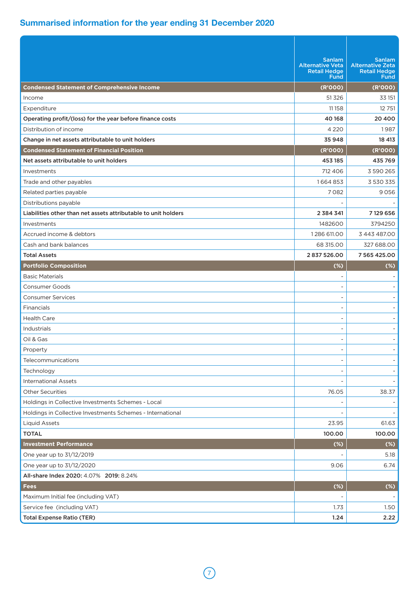|                                                                | <b>Sanlam</b><br><b>Alternative Veta</b><br><b>Retail Hedge</b><br><b>Fund</b> | <b>Sanlam</b><br><b>Alternative Zeta</b><br><b>Retail Hedge</b><br><b>Fund</b> |
|----------------------------------------------------------------|--------------------------------------------------------------------------------|--------------------------------------------------------------------------------|
| <b>Condensed Statement of Comprehensive Income</b>             | (R'000)                                                                        | (R'000)                                                                        |
| Income                                                         | 51326                                                                          | 33 151                                                                         |
| Expenditure                                                    | 11158                                                                          | 12 751                                                                         |
| Operating profit/(loss) for the year before finance costs      | 40 168                                                                         | 20 400                                                                         |
| Distribution of income                                         | 4 2 2 0                                                                        | 1987                                                                           |
| Change in net assets attributable to unit holders              | 35948                                                                          | 18 413                                                                         |
| <b>Condensed Statement of Financial Position</b>               | (R'000)                                                                        | (R'000)                                                                        |
| Net assets attributable to unit holders                        | 453 185                                                                        | 435 769                                                                        |
| Investments                                                    | 712 406                                                                        | 3 590 265                                                                      |
| Trade and other payables                                       | 1664853                                                                        | 3 530 335                                                                      |
| Related parties payable                                        | 7082                                                                           | 9056                                                                           |
| Distributions payable                                          |                                                                                |                                                                                |
| Liabilities other than net assets attributable to unit holders | 2 3 8 4 3 4 1                                                                  | 7129656                                                                        |
| Investments                                                    | 1482600                                                                        | 3794250                                                                        |
| Accrued income & debtors                                       | 1286 611.00                                                                    | 3 443 487.00                                                                   |
| Cash and bank balances                                         | 68 315.00                                                                      | 327 688.00                                                                     |
| <b>Total Assets</b>                                            | 2837526.00                                                                     | 7 565 425.00                                                                   |
| <b>Portfolio Composition</b>                                   | (%)                                                                            | (%)                                                                            |
| <b>Basic Materials</b>                                         |                                                                                |                                                                                |
| <b>Consumer Goods</b>                                          |                                                                                |                                                                                |
| <b>Consumer Services</b>                                       |                                                                                |                                                                                |
| Financials                                                     |                                                                                |                                                                                |
| <b>Health Care</b>                                             |                                                                                |                                                                                |
| Industrials                                                    |                                                                                |                                                                                |
| Oil & Gas                                                      |                                                                                |                                                                                |
| Property                                                       |                                                                                |                                                                                |
| Telecommunications                                             | $\overline{a}$                                                                 | $\overline{\phantom{a}}$                                                       |
| Technology                                                     |                                                                                |                                                                                |
| <b>International Assets</b>                                    |                                                                                |                                                                                |
| <b>Other Securities</b>                                        | 76.05                                                                          | 38.37                                                                          |
| Holdings in Collective Investments Schemes - Local             |                                                                                |                                                                                |
| Holdings in Collective Investments Schemes - International     |                                                                                |                                                                                |
| <b>Liquid Assets</b>                                           | 23.95                                                                          | 61.63                                                                          |
| <b>TOTAL</b>                                                   | 100.00                                                                         | 100.00                                                                         |
| <b>Investment Performance</b>                                  | $(*)$                                                                          | (%)                                                                            |
| One year up to 31/12/2019                                      |                                                                                | 5.18                                                                           |
| One year up to 31/12/2020                                      | 9.06                                                                           | 6.74                                                                           |
| All-share Index 2020: 4.07% 2019: 8.24%                        |                                                                                |                                                                                |
| <b>Fees</b>                                                    | $(*)$                                                                          | (%)                                                                            |
| Maximum Initial fee (including VAT)                            |                                                                                |                                                                                |
| Service fee (including VAT)                                    | 1.73                                                                           | 1.50                                                                           |
| <b>Total Expense Ratio (TER)</b>                               | 1.24                                                                           | 2.22                                                                           |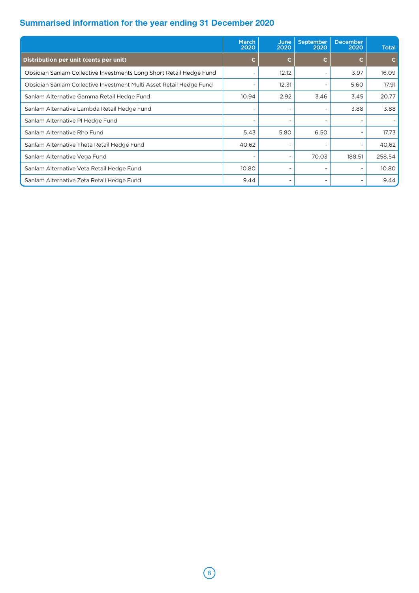|                                                                     | March<br>2020            | June<br>2020             | <b>September</b><br>2020     | <b>December</b><br>2020      | <b>Total</b> |
|---------------------------------------------------------------------|--------------------------|--------------------------|------------------------------|------------------------------|--------------|
| Distribution per unit (cents per unit)                              | С                        | C                        | C                            | C                            |              |
| Obsidian Sanlam Collective Investments Long Short Retail Hedge Fund |                          | 12.12                    | $\overline{\phantom{0}}$     | 3.97                         | 16.09        |
| Obsidian Sanlam Collective Investment Multi Asset Retail Hedge Fund |                          | 12.31                    | $\qquad \qquad \blacksquare$ | 5.60                         | 17.91        |
| Sanlam Alternative Gamma Retail Hedge Fund                          | 10.94                    | 2.92                     | 3.46                         | 3.45                         | 20.77        |
| Sanlam Alternative Lambda Retail Hedge Fund                         |                          |                          |                              | 3.88                         | 3.88         |
| Sanlam Alternative PI Hedge Fund                                    |                          |                          |                              | $\qquad \qquad \blacksquare$ |              |
| Sanlam Alternative Rho Fund                                         | 5.43                     | 5.80                     | 6.50                         | $\overline{\phantom{a}}$     | 17.73        |
| Sanlam Alternative Theta Retail Hedge Fund                          | 40.62                    |                          |                              | $\overline{\phantom{a}}$     | 40.62        |
| Sanlam Alternative Vega Fund                                        | $\overline{\phantom{0}}$ | $\overline{\phantom{0}}$ | 70.03                        | 188.51                       | 258.54       |
| Sanlam Alternative Veta Retail Hedge Fund                           | 10.80                    |                          |                              | $\overline{\phantom{a}}$     | 10.80        |
| Sanlam Alternative Zeta Retail Hedge Fund                           | 9.44                     |                          | $\overline{\phantom{0}}$     | $\overline{\phantom{a}}$     | 9.44         |